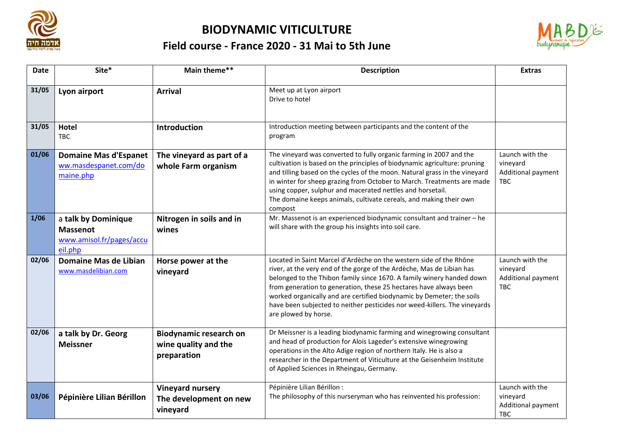

## **BIODYNAMIC VITICULTURE**

## **Field course - France 2020 - 31 Mai to 5th June**



| <b>Date</b> | Site*                                                                         | Main theme**                                                         | <b>Description</b>                                                                                                                                                                                                                                                                                                                                                                                                                                                      | <b>Extras</b>                                                   |
|-------------|-------------------------------------------------------------------------------|----------------------------------------------------------------------|-------------------------------------------------------------------------------------------------------------------------------------------------------------------------------------------------------------------------------------------------------------------------------------------------------------------------------------------------------------------------------------------------------------------------------------------------------------------------|-----------------------------------------------------------------|
| 31/05       | Lyon airport                                                                  | <b>Arrival</b>                                                       | Meet up at Lyon airport<br>Drive to hotel                                                                                                                                                                                                                                                                                                                                                                                                                               |                                                                 |
| 31/05       | Hotel<br><b>TBC</b>                                                           | Introduction                                                         | Introduction meeting between participants and the content of the<br>program                                                                                                                                                                                                                                                                                                                                                                                             |                                                                 |
| 01/06       | <b>Domaine Mas d'Espanet</b><br>ww.masdespanet.com/do<br>maine.php            | The vineyard as part of a<br>whole Farm organism                     | The vineyard was converted to fully organic farming in 2007 and the<br>cultivation is based on the principles of biodynamic agriculture: pruning<br>and tilling based on the cycles of the moon. Natural grass in the vineyard<br>in winter for sheep grazing from October to March. Treatments are made<br>using copper, sulphur and macerated nettles and horsetail.<br>The domaine keeps animals, cultivate cereals, and making their own<br>compost                 | Launch with the<br>vineyard<br>Additional payment<br><b>TBC</b> |
| 1/06        | a talk by Dominique<br><b>Massenot</b><br>www.amisol.fr/pages/accu<br>eil.php | Nitrogen in soils and in<br>wines                                    | Mr. Massenot is an experienced biodynamic consultant and trainer - he<br>will share with the group his insights into soil care.                                                                                                                                                                                                                                                                                                                                         |                                                                 |
| 02/06       | Domaine Mas de Libian<br>www.masdelibian.com                                  | Horse power at the<br>vineyard                                       | Located in Saint Marcel d'Ardèche on the western side of the Rhône<br>river, at the very end of the gorge of the Ardèche, Mas de Libian has<br>belonged to the Thibon family since 1670. A family winery handed down<br>from generation to generation, these 25 hectares have always been<br>worked organically and are certified biodynamic by Demeter; the soils<br>have been subjected to neither pesticides nor weed-killers. The vineyards<br>are plowed by horse. | Launch with the<br>vineyard<br>Additional payment<br><b>TBC</b> |
| 02/06       | a talk by Dr. Georg<br><b>Meissner</b>                                        | <b>Biodynamic research on</b><br>wine quality and the<br>preparation | Dr Meissner is a leading biodynamic farming and winegrowing consultant<br>and head of production for Alois Lageder's extensive winegrowing<br>operations in the Alto Adige region of northern Italy. He is also a<br>researcher in the Department of Viticulture at the Geisenheim Institute<br>of Applied Sciences in Rheingau, Germany.                                                                                                                               |                                                                 |
| 03/06       | Pépinière Lilian Bérillon                                                     | <b>Vineyard nursery</b><br>The development on new<br>vineyard        | Pépinière Lilian Bérillon :<br>The philosophy of this nurseryman who has reinvented his profession:                                                                                                                                                                                                                                                                                                                                                                     | Launch with the<br>vineyard<br>Additional payment<br>TBC        |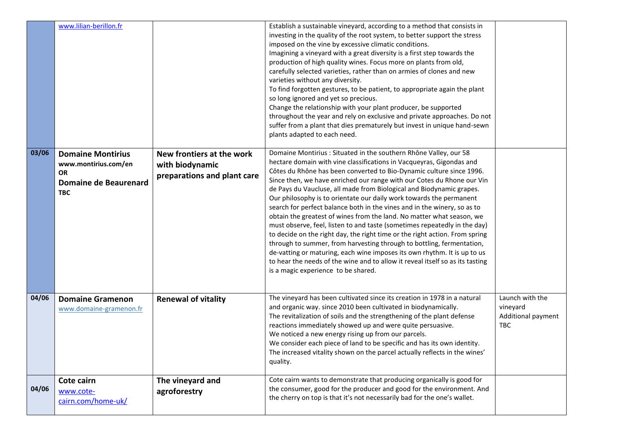|       | www.lilian-berillon.fr                                                                               |                                                                             | Establish a sustainable vineyard, according to a method that consists in<br>investing in the quality of the root system, to better support the stress<br>imposed on the vine by excessive climatic conditions.<br>Imagining a vineyard with a great diversity is a first step towards the<br>production of high quality wines. Focus more on plants from old,<br>carefully selected varieties, rather than on armies of clones and new<br>varieties without any diversity.<br>To find forgotten gestures, to be patient, to appropriate again the plant<br>so long ignored and yet so precious.<br>Change the relationship with your plant producer, be supported<br>throughout the year and rely on exclusive and private approaches. Do not<br>suffer from a plant that dies prematurely but invest in unique hand-sewn<br>plants adapted to each need.                                                                                                                                                                                |                                                          |
|-------|------------------------------------------------------------------------------------------------------|-----------------------------------------------------------------------------|------------------------------------------------------------------------------------------------------------------------------------------------------------------------------------------------------------------------------------------------------------------------------------------------------------------------------------------------------------------------------------------------------------------------------------------------------------------------------------------------------------------------------------------------------------------------------------------------------------------------------------------------------------------------------------------------------------------------------------------------------------------------------------------------------------------------------------------------------------------------------------------------------------------------------------------------------------------------------------------------------------------------------------------|----------------------------------------------------------|
| 03/06 | <b>Domaine Montirius</b><br>www.montirius.com/en<br><b>OR</b><br>Domaine de Beaurenard<br><b>TBC</b> | New frontiers at the work<br>with biodynamic<br>preparations and plant care | Domaine Montirius : Situated in the southern Rhône Valley, our 58<br>hectare domain with vine classifications in Vacqueyras, Gigondas and<br>Côtes du Rhône has been converted to Bio-Dynamic culture since 1996.<br>Since then, we have enriched our range with our Cotes du Rhone our Vin<br>de Pays du Vaucluse, all made from Biological and Biodynamic grapes.<br>Our philosophy is to orientate our daily work towards the permanent<br>search for perfect balance both in the vines and in the winery, so as to<br>obtain the greatest of wines from the land. No matter what season, we<br>must observe, feel, listen to and taste (sometimes repeatedly in the day)<br>to decide on the right day, the right time or the right action. From spring<br>through to summer, from harvesting through to bottling, fermentation,<br>de-vatting or maturing, each wine imposes its own rhythm. It is up to us<br>to hear the needs of the wine and to allow it reveal itself so as its tasting<br>is a magic experience to be shared. |                                                          |
| 04/06 | <b>Domaine Gramenon</b><br>www.domaine-gramenon.fr                                                   | <b>Renewal of vitality</b>                                                  | The vineyard has been cultivated since its creation in 1978 in a natural<br>and organic way. since 2010 been cultivated in biodynamically.<br>The revitalization of soils and the strengthening of the plant defense<br>reactions immediately showed up and were quite persuasive.<br>We noticed a new energy rising up from our parcels.<br>We consider each piece of land to be specific and has its own identity.<br>The increased vitality shown on the parcel actually reflects in the wines'<br>quality.                                                                                                                                                                                                                                                                                                                                                                                                                                                                                                                           | Launch with the<br>vineyard<br>Additional payment<br>TBC |
| 04/06 | Cote cairn<br>www.cote-<br>cairn.com/home-uk/                                                        | The vineyard and<br>agroforestry                                            | Cote cairn wants to demonstrate that producing organically is good for<br>the consumer, good for the producer and good for the environment. And<br>the cherry on top is that it's not necessarily bad for the one's wallet.                                                                                                                                                                                                                                                                                                                                                                                                                                                                                                                                                                                                                                                                                                                                                                                                              |                                                          |